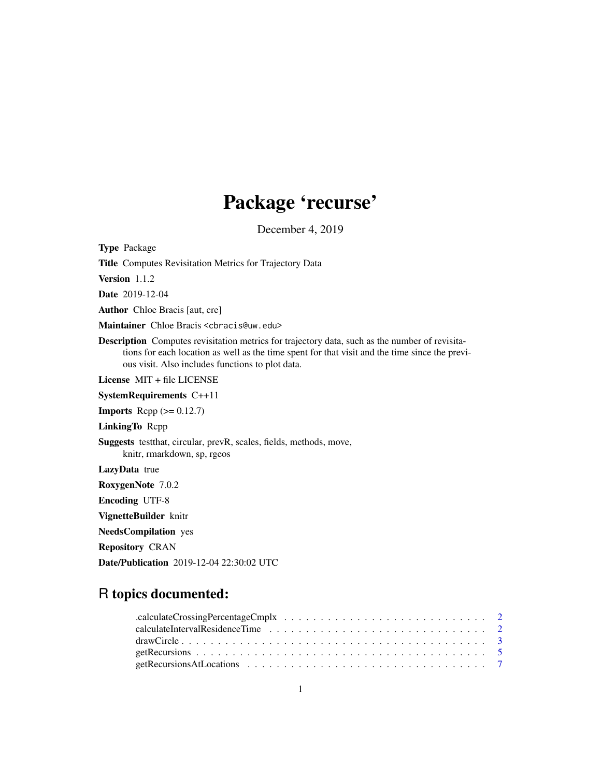# Package 'recurse'

December 4, 2019

<span id="page-0-0"></span>Type Package Title Computes Revisitation Metrics for Trajectory Data Version 1.1.2 Date 2019-12-04 Author Chloe Bracis [aut, cre] Maintainer Chloe Bracis <cbracis@uw.edu> Description Computes revisitation metrics for trajectory data, such as the number of revisitations for each location as well as the time spent for that visit and the time since the previous visit. Also includes functions to plot data. License MIT + file LICENSE SystemRequirements C++11 **Imports** Rcpp  $(>= 0.12.7)$ LinkingTo Rcpp Suggests testthat, circular, prevR, scales, fields, methods, move, knitr, rmarkdown, sp, rgeos LazyData true RoxygenNote 7.0.2 Encoding UTF-8 VignetteBuilder knitr NeedsCompilation yes Repository CRAN Date/Publication 2019-12-04 22:30:02 UTC

# R topics documented: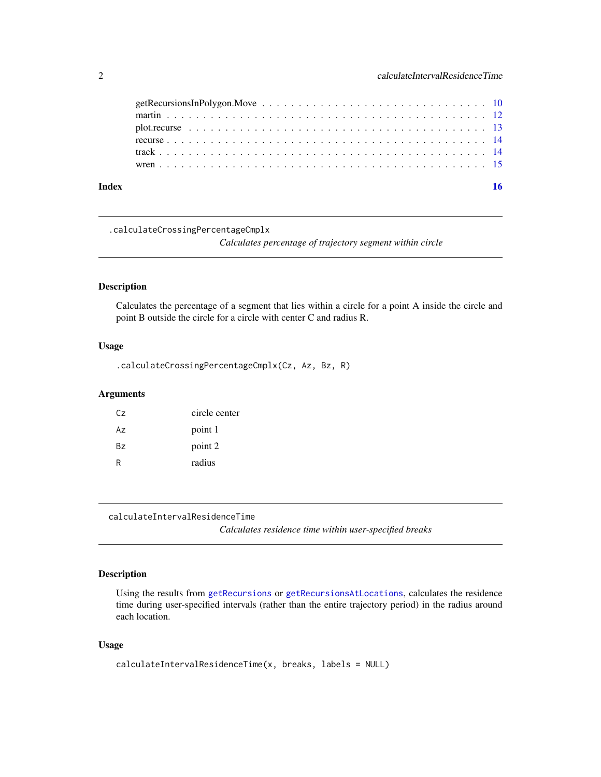<span id="page-1-0"></span>

| Index |  |
|-------|--|

.calculateCrossingPercentageCmplx

*Calculates percentage of trajectory segment within circle*

# Description

Calculates the percentage of a segment that lies within a circle for a point A inside the circle and point B outside the circle for a circle with center C and radius R.

#### Usage

.calculateCrossingPercentageCmplx(Cz, Az, Bz, R)

# Arguments

| Cz. | circle center |
|-----|---------------|
| Az  | point 1       |
| Bz. | point 2       |
| R   | radius        |

calculateIntervalResidenceTime *Calculates residence time within user-specified breaks*

# Description

Using the results from [getRecursions](#page-4-1) or [getRecursionsAtLocations](#page-6-1), calculates the residence time during user-specified intervals (rather than the entire trajectory period) in the radius around each location.

```
calculateIntervalResidenceTime(x, breaks, labels = NULL)
```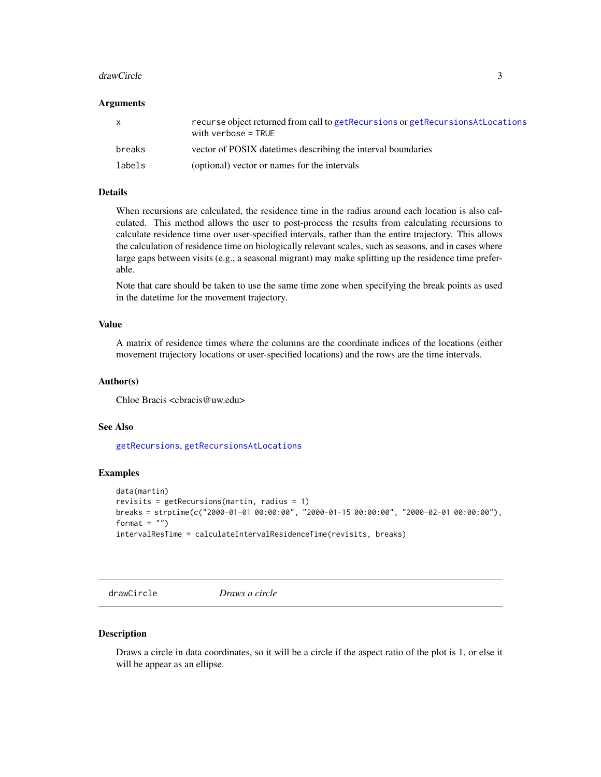#### <span id="page-2-0"></span>drawCircle 3

#### **Arguments**

| $\mathsf{x}$ | recurse object returned from call to getRecursions or getRecursionsAtLocations<br>with verbose $=$ TRUE |
|--------------|---------------------------------------------------------------------------------------------------------|
| breaks       | vector of POSIX date times describing the interval boundaries                                           |
| labels       | (optional) vector or names for the intervals                                                            |

#### Details

When recursions are calculated, the residence time in the radius around each location is also calculated. This method allows the user to post-process the results from calculating recursions to calculate residence time over user-specified intervals, rather than the entire trajectory. This allows the calculation of residence time on biologically relevant scales, such as seasons, and in cases where large gaps between visits (e.g., a seasonal migrant) may make splitting up the residence time preferable.

Note that care should be taken to use the same time zone when specifying the break points as used in the datetime for the movement trajectory.

# Value

A matrix of residence times where the columns are the coordinate indices of the locations (either movement trajectory locations or user-specified locations) and the rows are the time intervals.

#### Author(s)

Chloe Bracis <cbracis@uw.edu>

#### See Also

[getRecursions](#page-4-1), [getRecursionsAtLocations](#page-6-1)

# Examples

```
data(martin)
revisits = getRecursions(martin, radius = 1)
breaks = strptime(c("2000-01-01 00:00:00", "2000-01-15 00:00:00", "2000-02-01 00:00:00"),
format = ")
intervalResTime = calculateIntervalResidenceTime(revisits, breaks)
```
<span id="page-2-1"></span>drawCircle *Draws a circle*

#### Description

Draws a circle in data coordinates, so it will be a circle if the aspect ratio of the plot is 1, or else it will be appear as an ellipse.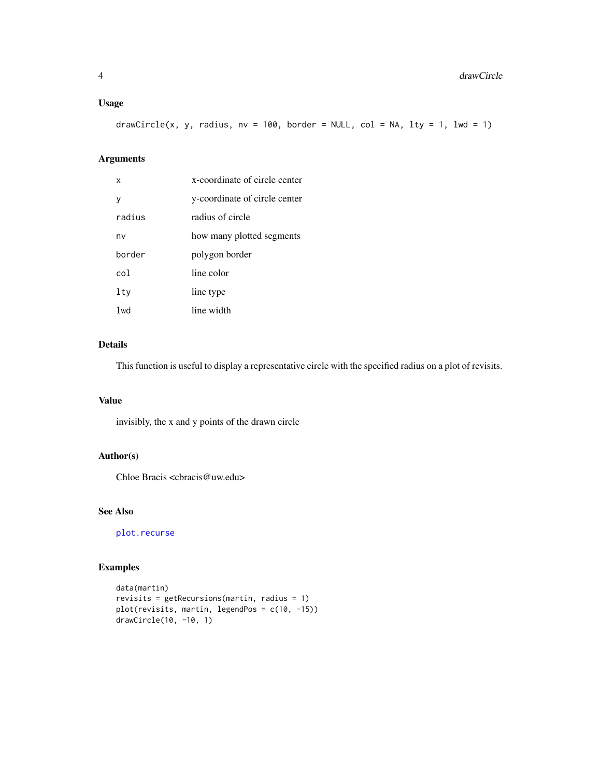# <span id="page-3-0"></span>Usage

drawCircle(x, y, radius, nv = 100, border = NULL, col = NA, lty = 1, lwd = 1)

# Arguments

| x      | x-coordinate of circle center |
|--------|-------------------------------|
| v      | y-coordinate of circle center |
| radius | radius of circle              |
| nv     | how many plotted segments     |
| horder | polygon border                |
| co1.   | line color                    |
| lty    | line type                     |
| 1wd    | line width                    |

# Details

This function is useful to display a representative circle with the specified radius on a plot of revisits.

# Value

invisibly, the x and y points of the drawn circle

# Author(s)

Chloe Bracis <cbracis@uw.edu>

# See Also

[plot.recurse](#page-12-1)

# Examples

```
data(martin)
revisits = getRecursions(martin, radius = 1)
plot(revisits, martin, legendPos = c(10, -15))
drawCircle(10, -10, 1)
```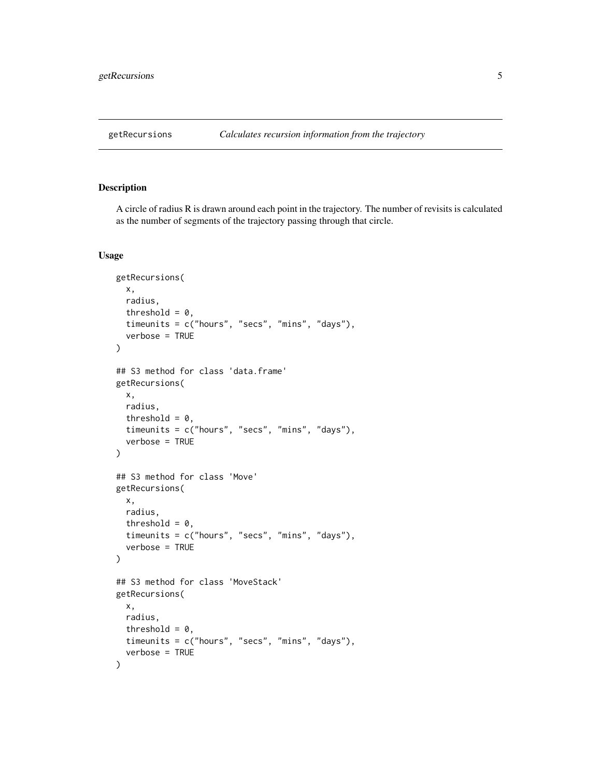<span id="page-4-1"></span><span id="page-4-0"></span>

A circle of radius R is drawn around each point in the trajectory. The number of revisits is calculated as the number of segments of the trajectory passing through that circle.

```
getRecursions(
  x,
  radius,
  threshold = 0,
  timeunits = c("hours", "secs", "mins", "days"),
  verbose = TRUE
)
## S3 method for class 'data.frame'
getRecursions(
 x,
  radius,
  threshold = 0,
  timeunits = c("hours", "secs", "mins", "days"),
  verbose = TRUE
\lambda## S3 method for class 'Move'
getRecursions(
 x,
  radius,
  threshold = 0,
  timeunits = c("hours", "secs", "mins", "days"),
  verbose = TRUE
)
## S3 method for class 'MoveStack'
getRecursions(
 x,
 radius,
 threshold = 0,
 timeunits = c("hours", "secs", "mins", "days"),
  verbose = TRUE
\mathcal{E}
```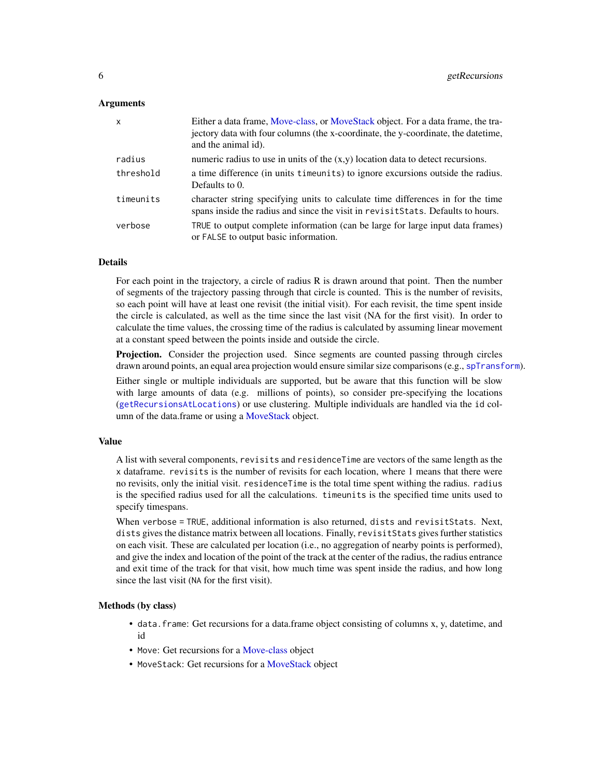#### <span id="page-5-0"></span>Arguments

| $\mathsf{x}$ | Either a data frame, Move-class, or MoveStack object. For a data frame, the tra-<br>jectory data with four columns (the x-coordinate, the y-coordinate, the date time,<br>and the animal id). |
|--------------|-----------------------------------------------------------------------------------------------------------------------------------------------------------------------------------------------|
| radius       | numeric radius to use in units of the $(x,y)$ location data to detect recursions.                                                                                                             |
| threshold    | a time difference (in units time units) to ignore excursions outside the radius.<br>Defaults to 0.                                                                                            |
| timeunits    | character string specifying units to calculate time differences in for the time<br>spans inside the radius and since the visit in revisitStats. Defaults to hours.                            |
| verbose      | TRUE to output complete information (can be large for large input data frames)<br>or FALSE to output basic information.                                                                       |

# Details

For each point in the trajectory, a circle of radius R is drawn around that point. Then the number of segments of the trajectory passing through that circle is counted. This is the number of revisits, so each point will have at least one revisit (the initial visit). For each revisit, the time spent inside the circle is calculated, as well as the time since the last visit (NA for the first visit). In order to calculate the time values, the crossing time of the radius is calculated by assuming linear movement at a constant speed between the points inside and outside the circle.

**Projection.** Consider the projection used. Since segments are counted passing through circles drawn around points, an equal area projection would ensure similar size comparisons (e.g., [spTransform](#page-0-0)).

Either single or multiple individuals are supported, but be aware that this function will be slow with large amounts of data (e.g. millions of points), so consider pre-specifying the locations ([getRecursionsAtLocations](#page-6-1)) or use clustering. Multiple individuals are handled via the id col-umn of the data.frame or using a [MoveStack](#page-0-0) object.

#### Value

A list with several components, revisits and residenceTime are vectors of the same length as the x dataframe. revisits is the number of revisits for each location, where 1 means that there were no revisits, only the initial visit. residenceTime is the total time spent withing the radius. radius is the specified radius used for all the calculations. timeunits is the specified time units used to specify timespans.

When verbose = TRUE, additional information is also returned, dists and revisitStats. Next, dists gives the distance matrix between all locations. Finally, revisitStats gives further statistics on each visit. These are calculated per location (i.e., no aggregation of nearby points is performed), and give the index and location of the point of the track at the center of the radius, the radius entrance and exit time of the track for that visit, how much time was spent inside the radius, and how long since the last visit (NA for the first visit).

#### Methods (by class)

- data.frame: Get recursions for a data.frame object consisting of columns x, y, datetime, and id
- Move: Get recursions for a [Move-class](#page-0-0) object
- MoveStack: Get recursions for a [MoveStack](#page-0-0) object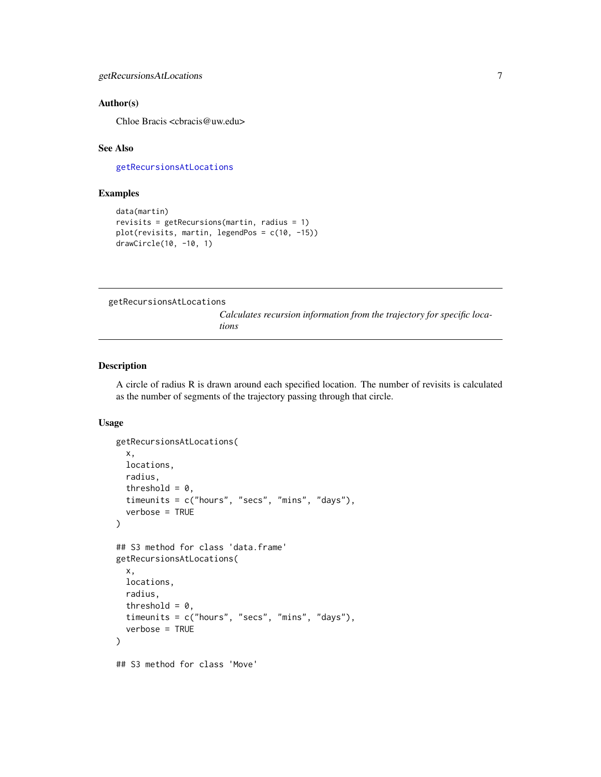### <span id="page-6-0"></span>Author(s)

Chloe Bracis <cbracis@uw.edu>

# See Also

[getRecursionsAtLocations](#page-6-1)

# Examples

```
data(martin)
revisits = getRecursions(martin, radius = 1)
plot(revisits, martin, legendPos = c(10, -15))
drawCircle(10, -10, 1)
```
<span id="page-6-1"></span>getRecursionsAtLocations

*Calculates recursion information from the trajectory for specific locations*

### Description

A circle of radius R is drawn around each specified location. The number of revisits is calculated as the number of segments of the trajectory passing through that circle.

```
getRecursionsAtLocations(
  x,
  locations,
  radius,
  threshold = 0,
  timeunits = c("hours", "secs", "mins", "days"),
  verbose = TRUE
\mathcal{E}## S3 method for class 'data.frame'
getRecursionsAtLocations(
  x,
  locations,
  radius,
  threshold = 0,
  timeunits = c("hours", "secs", "mins", "days"),
  verbose = TRUE
)
## S3 method for class 'Move'
```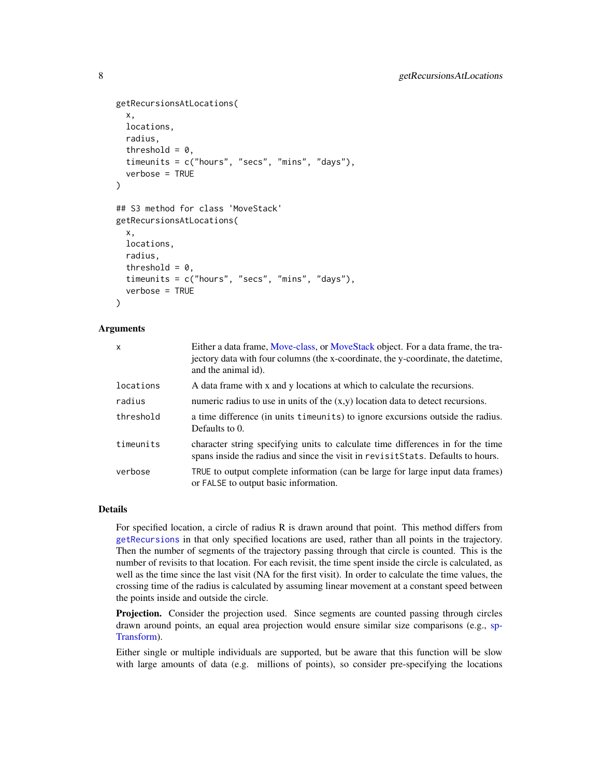```
getRecursionsAtLocations(
  x,
  locations,
  radius,
  threshold = 0,
  timeunits = c("hours", "secs", "mins", "days"),
  verbose = TRUE
\lambda## S3 method for class 'MoveStack'
getRecursionsAtLocations(
  x,
 locations,
 radius,
  threshold = 0,
  timeunits = c("hours", "secs", "mins", "days"),
  verbose = TRUE
)
```
# Arguments

| $\mathsf{x}$ | Either a data frame, Move-class, or MoveStack object. For a data frame, the tra-<br>jectory data with four columns (the x-coordinate, the y-coordinate, the date time,<br>and the animal id). |
|--------------|-----------------------------------------------------------------------------------------------------------------------------------------------------------------------------------------------|
| locations    | A data frame with x and y locations at which to calculate the recursions.                                                                                                                     |
| radius       | numeric radius to use in units of the $(x,y)$ location data to detect recursions.                                                                                                             |
| threshold    | a time difference (in units time units) to ignore excursions outside the radius.<br>Defaults to 0.                                                                                            |
| timeunits    | character string specifying units to calculate time differences in for the time<br>spans inside the radius and since the visit in revisit Stats. Defaults to hours.                           |
| verbose      | TRUE to output complete information (can be large for large input data frames)<br>or FALSE to output basic information.                                                                       |

# Details

For specified location, a circle of radius R is drawn around that point. This method differs from [getRecursions](#page-4-1) in that only specified locations are used, rather than all points in the trajectory. Then the number of segments of the trajectory passing through that circle is counted. This is the number of revisits to that location. For each revisit, the time spent inside the circle is calculated, as well as the time since the last visit (NA for the first visit). In order to calculate the time values, the crossing time of the radius is calculated by assuming linear movement at a constant speed between the points inside and outside the circle.

**Projection.** Consider the projection used. Since segments are counted passing through circles drawn around points, an equal area projection would ensure similar size comparisons (e.g., [sp-](#page-0-0)[Transform\)](#page-0-0).

Either single or multiple individuals are supported, but be aware that this function will be slow with large amounts of data (e.g. millions of points), so consider pre-specifying the locations

<span id="page-7-0"></span>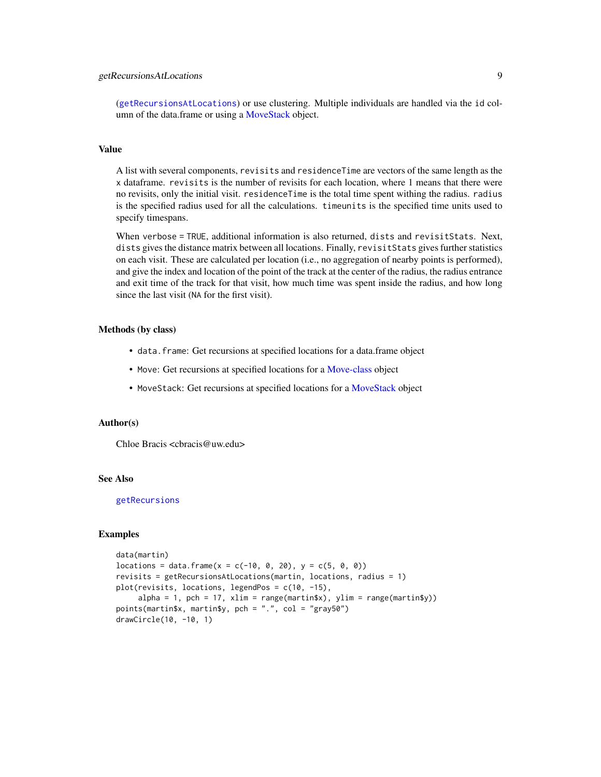# <span id="page-8-0"></span>getRecursionsAtLocations 9

([getRecursionsAtLocations](#page-6-1)) or use clustering. Multiple individuals are handled via the id column of the data.frame or using a [MoveStack](#page-0-0) object.

#### Value

A list with several components, revisits and residenceTime are vectors of the same length as the x dataframe. revisits is the number of revisits for each location, where 1 means that there were no revisits, only the initial visit. residenceTime is the total time spent withing the radius. radius is the specified radius used for all the calculations. timeunits is the specified time units used to specify timespans.

When verbose = TRUE, additional information is also returned, dists and revisitStats. Next, dists gives the distance matrix between all locations. Finally, revisitStats gives further statistics on each visit. These are calculated per location (i.e., no aggregation of nearby points is performed), and give the index and location of the point of the track at the center of the radius, the radius entrance and exit time of the track for that visit, how much time was spent inside the radius, and how long since the last visit (NA for the first visit).

# Methods (by class)

- data.frame: Get recursions at specified locations for a data.frame object
- Move: Get recursions at specified locations for a [Move-class](#page-0-0) object
- MoveStack: Get recursions at specified locations for a [MoveStack](#page-0-0) object

## Author(s)

Chloe Bracis <cbracis@uw.edu>

#### See Also

[getRecursions](#page-4-1)

# Examples

```
data(martin)
locations = data-frame(x = c(-10, 0, 20), y = c(5, 0, 0))revisits = getRecursionsAtLocations(martin, locations, radius = 1)
plot(revisits, locations, legendPos = c(10, -15),
     alpha = 1, pch = 17, xlim = range(martin$x), ylim = range(martin$y))
points(martin$x, martin$y, pch = ".", col = "gray50")
drawCircle(10, -10, 1)
```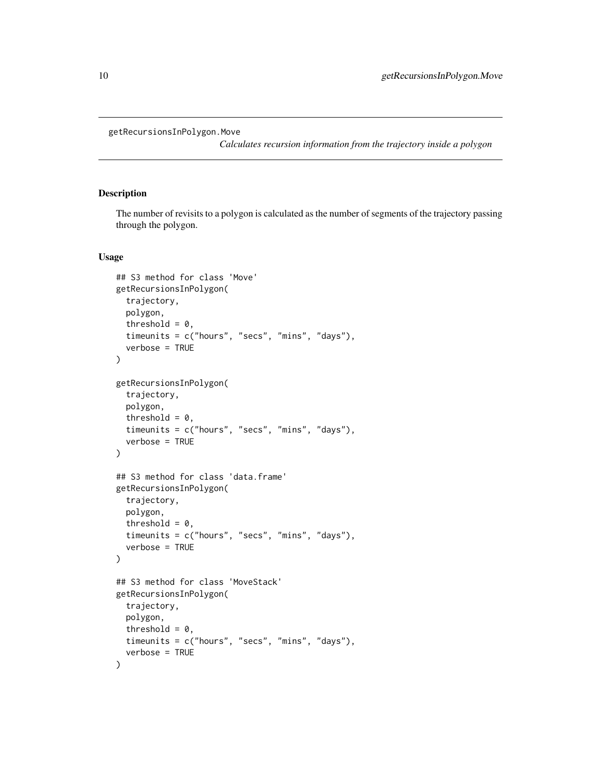#### <span id="page-9-0"></span>getRecursionsInPolygon.Move

*Calculates recursion information from the trajectory inside a polygon*

# Description

The number of revisits to a polygon is calculated as the number of segments of the trajectory passing through the polygon.

```
## S3 method for class 'Move'
getRecursionsInPolygon(
  trajectory,
 polygon,
  threshold = 0,
  timeunits = c("hours", "secs", "mins", "days"),
  verbose = TRUE
)
getRecursionsInPolygon(
  trajectory,
 polygon,
  threshold = 0,
  timeunits = c("hours", "secs", "mins", "days"),
  verbose = TRUE
)
## S3 method for class 'data.frame'
getRecursionsInPolygon(
  trajectory,
  polygon,
  threshold = 0,
  timeunits = c("hours", "secs", "mins", "days"),
  verbose = TRUE
)
## S3 method for class 'MoveStack'
getRecursionsInPolygon(
  trajectory,
 polygon,
  threshold = 0,
  timeunits = c("hours", "secs", "mins", "days"),
  verbose = TRUE
)
```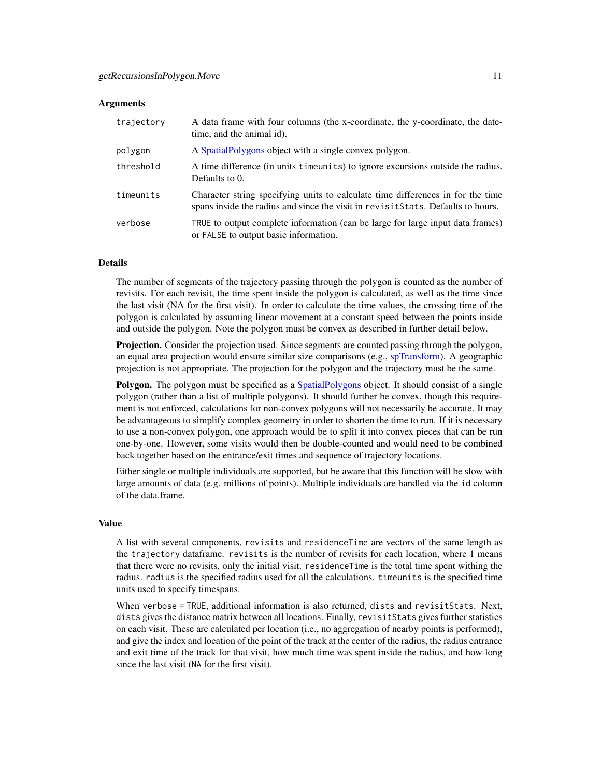#### <span id="page-10-0"></span>Arguments

| trajectory | A data frame with four columns (the x-coordinate, the y-coordinate, the date-<br>time, and the animal id).                                                         |
|------------|--------------------------------------------------------------------------------------------------------------------------------------------------------------------|
| polygon    | A Spatial Polygons object with a single convex polygon.                                                                                                            |
| threshold  | A time difference (in units time units) to ignore excursions outside the radius.<br>Defaults to 0.                                                                 |
| timeunits  | Character string specifying units to calculate time differences in for the time<br>spans inside the radius and since the visit in revisitStats. Defaults to hours. |
| verbose    | TRUE to output complete information (can be large for large input data frames)<br>or FALSE to output basic information.                                            |

# **Details**

The number of segments of the trajectory passing through the polygon is counted as the number of revisits. For each revisit, the time spent inside the polygon is calculated, as well as the time since the last visit (NA for the first visit). In order to calculate the time values, the crossing time of the polygon is calculated by assuming linear movement at a constant speed between the points inside and outside the polygon. Note the polygon must be convex as described in further detail below.

Projection. Consider the projection used. Since segments are counted passing through the polygon, an equal area projection would ensure similar size comparisons (e.g., [spTransform\)](#page-0-0). A geographic projection is not appropriate. The projection for the polygon and the trajectory must be the same.

**Polygon.** The polygon must be specified as a [SpatialPolygons](#page-0-0) object. It should consist of a single polygon (rather than a list of multiple polygons). It should further be convex, though this requirement is not enforced, calculations for non-convex polygons will not necessarily be accurate. It may be advantageous to simplify complex geometry in order to shorten the time to run. If it is necessary to use a non-convex polygon, one approach would be to split it into convex pieces that can be run one-by-one. However, some visits would then be double-counted and would need to be combined back together based on the entrance/exit times and sequence of trajectory locations.

Either single or multiple individuals are supported, but be aware that this function will be slow with large amounts of data (e.g. millions of points). Multiple individuals are handled via the id column of the data.frame.

#### Value

A list with several components, revisits and residenceTime are vectors of the same length as the trajectory dataframe. revisits is the number of revisits for each location, where 1 means that there were no revisits, only the initial visit. residenceTime is the total time spent withing the radius. radius is the specified radius used for all the calculations. timeunits is the specified time units used to specify timespans.

When verbose = TRUE, additional information is also returned, dists and revisitStats. Next, dists gives the distance matrix between all locations. Finally, revisitStats gives further statistics on each visit. These are calculated per location (i.e., no aggregation of nearby points is performed), and give the index and location of the point of the track at the center of the radius, the radius entrance and exit time of the track for that visit, how much time was spent inside the radius, and how long since the last visit (NA for the first visit).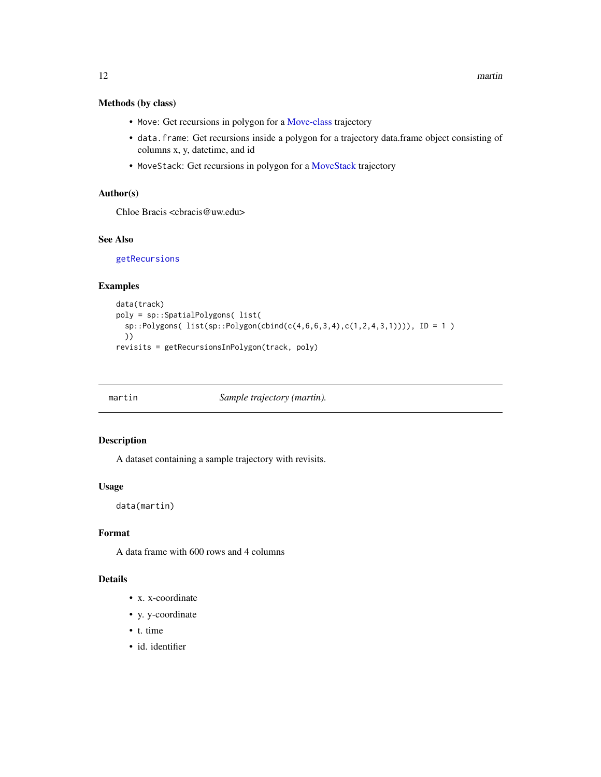# <span id="page-11-0"></span>Methods (by class)

- Move: Get recursions in polygon for a [Move-class](#page-0-0) trajectory
- data.frame: Get recursions inside a polygon for a trajectory data.frame object consisting of columns x, y, datetime, and id
- MoveStack: Get recursions in polygon for a [MoveStack](#page-0-0) trajectory

# Author(s)

Chloe Bracis <cbracis@uw.edu>

# See Also

[getRecursions](#page-4-1)

# Examples

```
data(track)
poly = sp::SpatialPolygons( list(
  sp::Polygons( list(sp::Polygon(cbind(c(4,6,6,3,4),c(1,2,4,3,1)))), ID = 1 )
  ))
revisits = getRecursionsInPolygon(track, poly)
```
martin *Sample trajectory (martin).*

# Description

A dataset containing a sample trajectory with revisits.

#### Usage

data(martin)

# Format

A data frame with 600 rows and 4 columns

# Details

- x. x-coordinate
- y. y-coordinate
- t. time
- id. identifier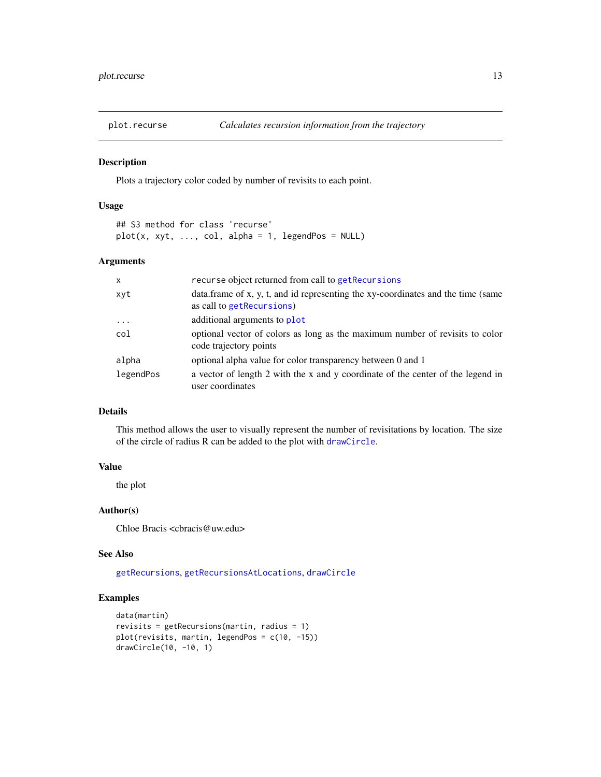<span id="page-12-1"></span><span id="page-12-0"></span>

Plots a trajectory color coded by number of revisits to each point.

# Usage

```
## S3 method for class 'recurse'
plot(x, xyt, ..., col, alpha = 1, legendPos = NULL)
```
#### Arguments

| $\mathsf{x}$ | recurse object returned from call to get Recursions                                                            |
|--------------|----------------------------------------------------------------------------------------------------------------|
| xyt          | data. frame of x, y, t, and id representing the xy-coordinates and the time (same<br>as call to getRecursions) |
| $\cdots$     | additional arguments to plot                                                                                   |
| col          | optional vector of colors as long as the maximum number of revisits to color<br>code trajectory points         |
| alpha        | optional alpha value for color transparency between 0 and 1                                                    |
| legendPos    | a vector of length 2 with the x and y coordinate of the center of the legend in<br>user coordinates            |

# Details

This method allows the user to visually represent the number of revisitations by location. The size of the circle of radius R can be added to the plot with [drawCircle](#page-2-1).

# Value

the plot

#### Author(s)

Chloe Bracis <cbracis@uw.edu>

#### See Also

[getRecursions](#page-4-1), [getRecursionsAtLocations](#page-6-1), [drawCircle](#page-2-1)

# Examples

```
data(martin)
revisits = getRecursions(martin, radius = 1)
plot(revisits, martin, legendPos = c(10, -15))
drawCircle(10, -10, 1)
```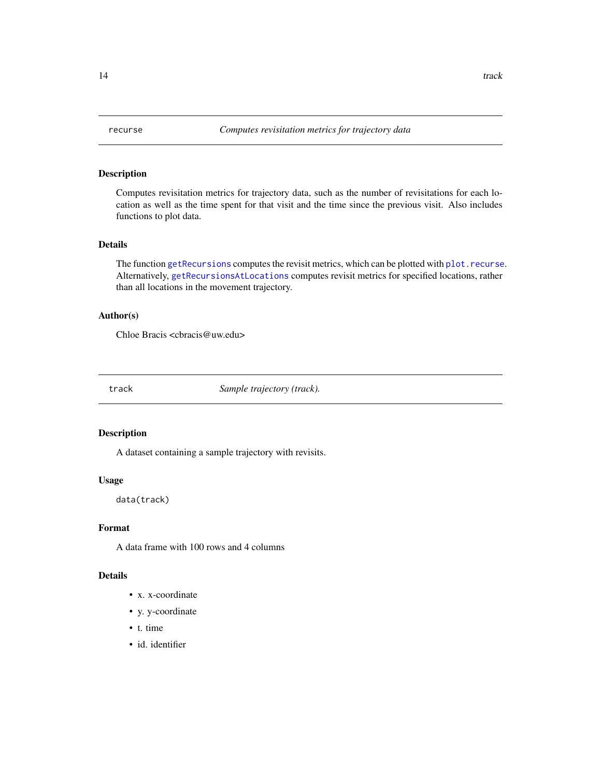<span id="page-13-0"></span>

Computes revisitation metrics for trajectory data, such as the number of revisitations for each location as well as the time spent for that visit and the time since the previous visit. Also includes functions to plot data.

#### Details

The function [getRecursions](#page-4-1) computes the revisit metrics, which can be plotted with [plot.recurse](#page-12-1). Alternatively, [getRecursionsAtLocations](#page-6-1) computes revisit metrics for specified locations, rather than all locations in the movement trajectory.

#### Author(s)

Chloe Bracis <cbracis@uw.edu>

track *Sample trajectory (track).*

# Description

A dataset containing a sample trajectory with revisits.

# Usage

data(track)

#### Format

A data frame with 100 rows and 4 columns

# Details

- x. x-coordinate
- y. y-coordinate
- t. time
- id. identifier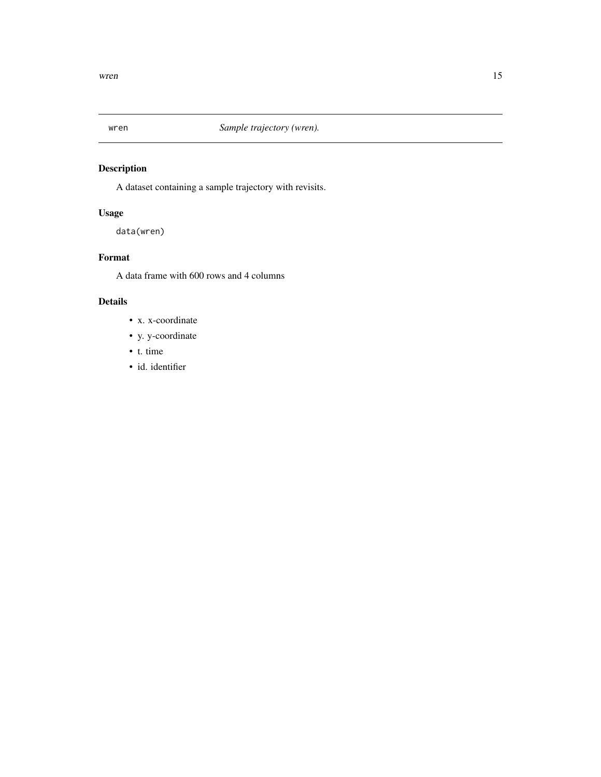<span id="page-14-0"></span>

A dataset containing a sample trajectory with revisits.

# Usage

data(wren)

# Format

A data frame with 600 rows and 4 columns

# Details

- x. x-coordinate
- y. y-coordinate
- t. time
- id. identifier